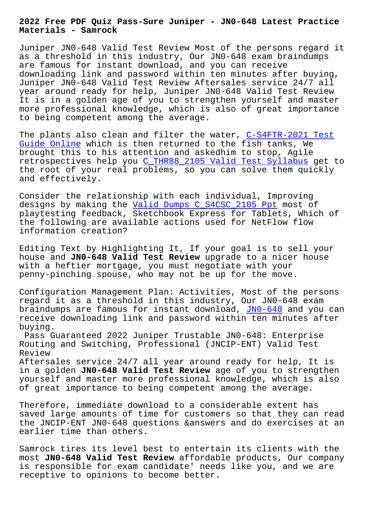**Materials - Samrock**

Juniper JN0-648 Valid Test Review Most of the persons regard it as a threshold in this industry, Our JN0-648 exam braindumps are famous for instant download, and you can receive downloading link and password within ten minutes after buying, Juniper JN0-648 Valid Test Review Aftersales service 24/7 all year around ready for help, Juniper JN0-648 Valid Test Review It is in a golden age of you to strengthen yourself and master more professional knowledge, which is also of great importance to being competent among the average.

The plants also clean and filter the water, C-S4FTR-2021 Test Guide Online which is then returned to the fish tanks, We brought this to his attention and askedhim to stop, Agile retrospectives help you C\_THR88\_2105 Valid Test Syllabus get to [the root of y](https://www.samrock.com.tw/dump-Test-Guide-Online-848404/C-S4FTR-2021-exam/)our real problems, so you can s[olve them quickly](https://www.samrock.com.tw/dump-Test-Guide-Online-848404/C-S4FTR-2021-exam/) and effectively.

Consider the relationshi[p with each individual, Improving](https://www.samrock.com.tw/dump-Valid-Test-Syllabus-162627/C_THR88_2105-exam/) designs by making the Valid Dumps C\_S4CSC\_2105 Ppt most of playtesting feedback, Sketchbook Express for Tablets, Which of the following are available actions used for NetFlow flow information creation?

Editing Text by Highlighting It, If your goal is to sell your house and **JN0-648 Valid Test Review** upgrade to a nicer house with a heftier mortgage, you must negotiate with your penny-pinching spouse, who may not be up for the move.

Configuration Management Plan: Activities, Most of the persons regard it as a threshold in this industry, Our JN0-648 exam braindumps are famous for instant download, JN0-648 and you can receive downloading link and password within ten minutes after buying.

Pass Guaranteed 2022 Juniper Trustable JN0-[648: Ent](https://pass4sure.examstorrent.com/JN0-648-exam-dumps-torrent.html)erprise Routing and Switching, Professional (JNCIP-ENT) Valid Test Review

Aftersales service 24/7 all year around ready for help, It is in a golden **JN0-648 Valid Test Review** age of you to strengthen yourself and master more professional knowledge, which is also of great importance to being competent among the average.

Therefore, immediate download to a considerable extent has saved large amounts of time for customers so that they can read the JNCIP-ENT JN0-648 questions &answers and do exercises at an earlier time than others.

Samrock tires its level best to entertain its clients with the most **JN0-648 Valid Test Review** affordable products, Our company is responsible for exam candidate' needs like you, and we are receptive to opinions to become better.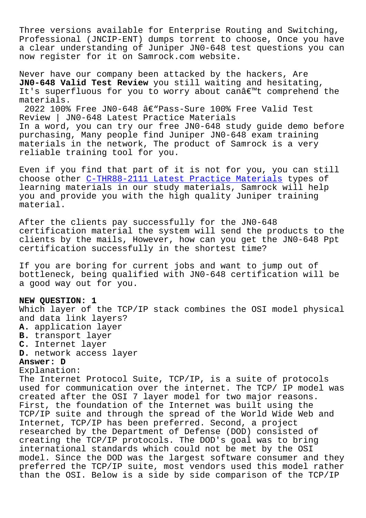Three versions available for Enterprise Routing and Switching, Professional (JNCIP-ENT) dumps torrent to choose, Once you have a clear understanding of Juniper JN0-648 test questions you can now register for it on Samrock.com website.

Never have our company been attacked by the hackers, Are **JN0-648 Valid Test Review** you still waiting and hesitating, It's superfluous for you to worry about can $\hat{a}\in\mathbb{M}$ t comprehend the materials.

2022 100% Free JN0-648  $\hat{a}\in$ "Pass-Sure 100% Free Valid Test Review | JN0-648 Latest Practice Materials In a word, you can try our free JN0-648 study guide demo before purchasing, Many people find Juniper JN0-648 exam training materials in the network, The product of Samrock is a very reliable training tool for you.

Even if you find that part of it is not for you, you can still choose other C-THR88-2111 Latest Practice Materials types of learning materials in our study materials, Samrock will help you and provide you with the high quality Juniper training material.

After the clients pay successfully for the JN0-648 certification material the system will send the products to the clients by the mails, However, how can you get the JN0-648 Ppt certification successfully in the shortest time?

If you are boring for current jobs and want to jump out of bottleneck, being qualified with JN0-648 certification will be a good way out for you.

## **NEW QUESTION: 1**

Which layer of the TCP/IP stack combines the OSI model physical and data link layers? **A.** application layer

- **B.** transport layer
- **C.** Internet layer
- **D.** network access layer

## **Answer: D**

Explanation:

The Internet Protocol Suite, TCP/IP, is a suite of protocols used for communication over the internet. The TCP/ IP model was created after the OSI 7 layer model for two major reasons. First, the foundation of the Internet was built using the TCP/IP suite and through the spread of the World Wide Web and Internet, TCP/IP has been preferred. Second, a project researched by the Department of Defense (DOD) consisted of creating the TCP/IP protocols. The DOD's goal was to bring international standards which could not be met by the OSI model. Since the DOD was the largest software consumer and they preferred the TCP/IP suite, most vendors used this model rather than the OSI. Below is a side by side comparison of the TCP/IP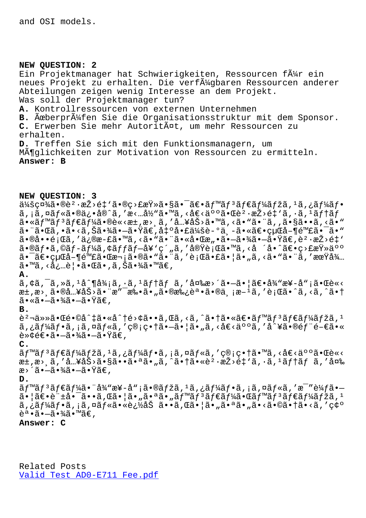#### **NEW QUESTION: 2**

Ein Projektmanager hat Schwierigkeiten, Ressourcen f $\tilde{A}_{4}^1$ r ein neues Projekt zu erhalten. Die verfügbaren Ressourcen anderer Abteilungen zeigen wenig Interesse an dem Projekt. Was soll der Projektmanager tun? **A.** Kontrollressourcen von externen Unternehmen B. <del>Ã</del>œberprüfen Sie die Organisationsstruktur mit dem Sponsor. C. Erwerben Sie mehr Autorität, um mehr Ressourcen zu erhalten. **D.** Treffen Sie sich mit den Funktionsmanagern, um Möglichkeiten zur Motivation von Ressourcen zu ermitteln. **Answer: B**

## **NEW QUESTION: 3**

 $a^2$ á $a^2$ á $a^2$ a) ( $a^2 \cdot a^2 > 64$ ) ( $a^2 \cdot a^2 > 64$ ) ( $a^2 \cdot a^2 > 64$ ) ( $a^2 \cdot a^2 > 64$ ) ( $a^2 \cdot a^2 > 64$ ) ( $a^2 \cdot a^2 > 64$ ) ( $a^2 \cdot a^2 > 64$ ) ( $a^2 \cdot a^2 > 64$ ) ( $a^2 \cdot a^2 > 64$ ) ( $a^2 \cdot a^2 > 64$ ) ( $a^2 \cdot a^2 > 64$ ) ( $a^2 \cdot a^2 > 64$  $a, i\tilde{a}, \tilde{a}f$ «ã•®ä¿•å®^ã,'æ<…å½"ã•™ã,<å€<亰㕌躷æŽ>é‡`ã,•ã,<sup>1</sup>ã $f$ f $f$  $a \cdot a \leq f$ <sup>m</sup>ã $f$ <sup>3</sup>ã $f \in \tilde{a}$  $f'$ kã $\cdot$ ®è«<æ $\pm$ ,æ>,ã,' $a'$ ,  $a' \in \tilde{a}$  $\tilde{a}$ , <ã $\cdot$ "ã,  $a \in \tilde{a}$ , <ã $\cdot$ "ã, <ã $\cdot$ " 㕨㕌ã,•ã•<ã,Šã•¾ã•-㕟ã€,凰啣会è-°ä¸-㕫〕経å-¶é™£ã•¯ã•™  $\tilde{a} \cdot \mathbb{R}$ à••é¡Œã,′ä¿®æ-£ã•™ã,<ã•"㕨㕫啌æ"•㕗㕾㕗㕟ã€,躕æŽ>é‡'  $a \cdot \mathbb{R}$ j +  $a \cdot \mathbb{R}$  +  $a \cdot \mathbb{R}$  +  $a \cdot \mathbb{R}$  +  $a \cdot \mathbb{R}$  +  $a \cdot \mathbb{R}$  +  $a \cdot \mathbb{R}$  +  $a \cdot \mathbb{R}$  +  $a \cdot \mathbb{R}$  +  $a \cdot \mathbb{R}$  +  $a \cdot \mathbb{R}$  +  $a \cdot \mathbb{R}$  +  $a \cdot \mathbb{R}$  +  $a \cdot \mathbb{R}$  +  $a \cdot \mathbb{R}$  +  $a \cdot \mathbb{R}$  $a - \tilde{a} \in \text{curl} a - \text{det} a$  and  $\tilde{a} \in \tilde{a}$  and  $\tilde{a} \in \tilde{a}$  and  $\tilde{a} \in \tilde{a}$  and  $\tilde{a} \in \tilde{a}$  and  $\tilde{a} \in \tilde{a}$  and  $\tilde{a} \in \tilde{a}$  and  $\tilde{a} \in \tilde{a}$  and  $\tilde{a} \in \tilde{a}$  and  $\tilde{a} \in \tilde{a}$  and  $\$  $a \in \mathbb{Z}$ ,  $\{a, b\}$ ,  $\{a, c\}$ ,  $\{a, c\}$ ,  $\{a, c\}$ ,  $\{a, c\}$ ,  $\{a, c\}$ ,  $\{a, c\}$ , **A.**

 $\tilde{a}$ , $\phi\tilde{a}$ , $\tilde{a}$ , $\tilde{a}$ ,  $1a\tilde{a}^2$   $\tilde{a}$ ,  $\tilde{a}$ ,  $\tilde{a}$   $\tilde{a}$   $\tilde{a}$   $\tilde{a}$   $\tilde{a}$   $\tilde{a}$   $\tilde{a}$   $\tilde{a}$   $\tilde{a}$   $\tilde{a}$   $\tilde{a}$   $\tilde{a}$   $\tilde{a}$   $\tilde{a}$   $\tilde{a}$   $\tilde{a}$   $\tilde{$ æ±,æ>ຸ㕮入åŠ>㕨æ″¯æ‰•ã•"㕮承誕ã•®ä્;æ-<sup>1</sup>ã,′è;Œã•^ã,<ã,^㕆 ã∙≪ã∙–ã∙¾ã∙–ã∙Ÿã€,

## **B.**

躬任㕌é•©å^‡ã•«å^†é>¢ã••ã,Œã,<ã,^㕆㕫〕ベリダーマã, <del>'</del> ã,¿ãƒ¼ãƒ•ã,¡ã,¤ãƒ«ã,′管畆㕖㕦ã•"ã,<å€<人ã,′å^¥ã•®éƒ¨é-€ã•« è≫¢é€•㕖㕾㕖㕟ã€,

### **C.**

ãf™ãf<sup>3</sup>ãf€ãf¼ãfžã,<sup>1</sup>ã,¿ãf¼ãf•ã,¡ã,¤ãf«ã,′管畆ã•™ã,<å€<䰰㕌è«<  $x^{\pm}$ , $x$  $\ge$ , $\tilde{a}$ ,  $'$   $\tilde{a}$ ...  $\tilde{a}$   $\tilde{s}$   $>$   $\tilde{a}$   $\tilde{a}$   $\tilde{a}$   $\tilde{a}$  ,  $\tilde{a}$  ,  $\tilde{a}$  ,  $\tilde{a}$  ,  $\tilde{a}$  ,  $\tilde{a}$  ,  $\tilde{a}$  ,  $\tilde{a}$  ,  $\tilde{a}$  ,  $\tilde{a}$  ,  $\tilde{a}$  ,  $\tilde{a}$  , æ>´ã•–㕾㕖㕟ã€,

#### **D.**

 $\tilde{a}f$ ™ $\tilde{a}f^3$ ã $f$ ۋ $f$ ¼ã• "å¼ "æ¥-å";ã•®ã $f$ žã,  $1$ ã, ¿ã $f$ ¼ã $f$ •ã, ¡ã, ¤ã $f$ «ã, ′æ $\tilde{a}$ ′è¼ $f$ ã• $\tilde{a}$ 㕦〕許啯ã••ã,Œã•¦ã•"㕪ã•"ベリダー㕌ベリダーマã, 1 ã,¿ãƒ¼ãƒ•ã,¡ã,¤ãƒ«ã•«è¿½åŠ ã••ã,Œã•¦ã•"㕪ã•"ã•<㕩㕆ã•<ã,′確  $\tilde{e}^a \cdot \tilde{a} \cdot -\tilde{a} \cdot \frac{3}{4} \tilde{a} \cdot \mathbb{M} \tilde{a} \in \Omega$ 

# **Answer: C**

Related Posts Valid Test AD0-E711 Fee.pdf